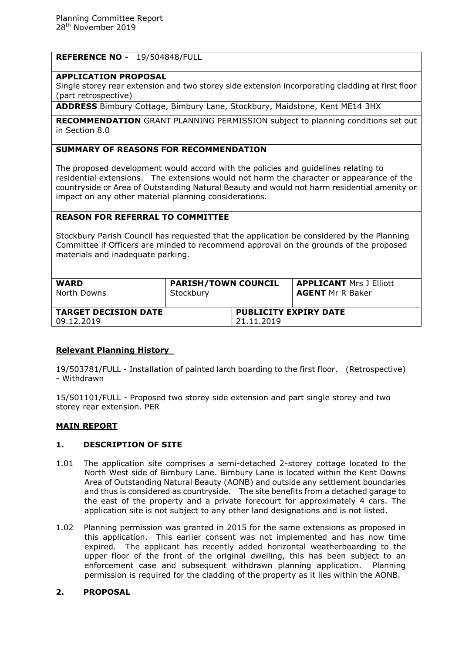# **REFERENCE NO -** 19/504848/FULL

### **APPLICATION PROPOSAL**

Single storey rear extension and two storey side extension incorporating cladding at first floor (part retrospective)

**ADDRESS** Bimbury Cottage, Bimbury Lane, Stockbury, Maidstone, Kent ME14 3HX

**RECOMMENDATION** GRANT PLANNING PERMISSION subject to planning conditions set out in Section 8.0

# **SUMMARY OF REASONS FOR RECOMMENDATION**

The proposed development would accord with the policies and guidelines relating to residential extensions. The extensions would not harm the character or appearance of the countryside or Area of Outstanding Natural Beauty and would not harm residential amenity or impact on any other material planning considerations.

### **REASON FOR REFERRAL TO COMMITTEE**

Stockbury Parish Council has requested that the application be considered by the Planning Committee if Officers are minded to recommend approval on the grounds of the proposed materials and inadequate parking.

| <b>WARD</b><br>North Downs  | <b>PARISH/TOWN COUNCIL</b><br>Stockbury |                              | <b>APPLICANT Mrs J Elliott</b><br><b>AGENT</b> Mr R Baker |
|-----------------------------|-----------------------------------------|------------------------------|-----------------------------------------------------------|
| <b>TARGET DECISION DATE</b> |                                         | <b>PUBLICITY EXPIRY DATE</b> |                                                           |
| 09.12.2019                  |                                         | 21.11.2019                   |                                                           |

# **Relevant Planning History**

19/503781/FULL - Installation of painted larch boarding to the first floor. (Retrospective) - Withdrawn

15/501101/FULL - Proposed two storey side extension and part single storey and two storey rear extension. PER

#### **MAIN REPORT**

#### **1. DESCRIPTION OF SITE**

- 1.01 The application site comprises a semi-detached 2-storey cottage located to the North West side of Bimbury Lane. Bimbury Lane is located within the Kent Downs Area of Outstanding Natural Beauty (AONB) and outside any settlement boundaries and thus is considered as countryside. The site benefits from a detached garage to the east of the property and a private forecourt for approximately 4 cars. The application site is not subject to any other land designations and is not listed.
- 1.02 Planning permission was granted in 2015 for the same extensions as proposed in this application. This earlier consent was not implemented and has now time expired. The applicant has recently added horizontal weatherboarding to the upper floor of the front of the original dwelling, this has been subject to an enforcement case and subsequent withdrawn planning application. Planning permission is required for the cladding of the property as it lies within the AONB.

### **2. PROPOSAL**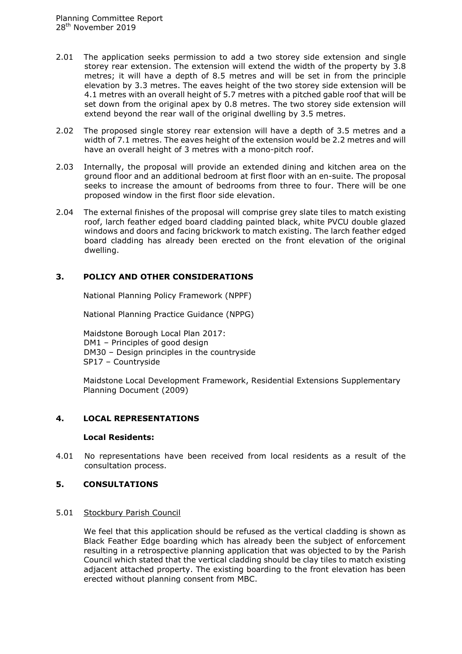- 2.01 The application seeks permission to add a two storey side extension and single storey rear extension. The extension will extend the width of the property by 3.8 metres; it will have a depth of 8.5 metres and will be set in from the principle elevation by 3.3 metres. The eaves height of the two storey side extension will be 4.1 metres with an overall height of 5.7 metres with a pitched gable roof that will be set down from the original apex by 0.8 metres. The two storey side extension will extend beyond the rear wall of the original dwelling by 3.5 metres.
- 2.02 The proposed single storey rear extension will have a depth of 3.5 metres and a width of 7.1 metres. The eaves height of the extension would be 2.2 metres and will have an overall height of 3 metres with a mono-pitch roof.
- 2.03 Internally, the proposal will provide an extended dining and kitchen area on the ground floor and an additional bedroom at first floor with an en-suite. The proposal seeks to increase the amount of bedrooms from three to four. There will be one proposed window in the first floor side elevation.
- 2.04 The external finishes of the proposal will comprise grey slate tiles to match existing roof, larch feather edged board cladding painted black, white PVCU double glazed windows and doors and facing brickwork to match existing. The larch feather edged board cladding has already been erected on the front elevation of the original dwelling.

# **3. POLICY AND OTHER CONSIDERATIONS**

National Planning Policy Framework (NPPF)

National Planning Practice Guidance (NPPG)

Maidstone Borough Local Plan 2017: DM1 – Principles of good design DM30 – Design principles in the countryside SP17 – Countryside

Maidstone Local Development Framework, Residential Extensions Supplementary Planning Document (2009)

#### **4. LOCAL REPRESENTATIONS**

#### **Local Residents:**

4.01 No representations have been received from local residents as a result of the consultation process.

### **5. CONSULTATIONS**

#### 5.01 Stockbury Parish Council

We feel that this application should be refused as the vertical cladding is shown as Black Feather Edge boarding which has already been the subject of enforcement resulting in a retrospective planning application that was objected to by the Parish Council which stated that the vertical cladding should be clay tiles to match existing adjacent attached property. The existing boarding to the front elevation has been erected without planning consent from MBC.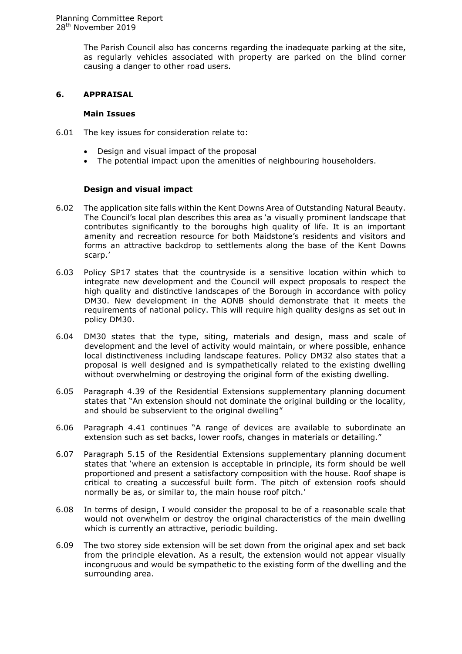The Parish Council also has concerns regarding the inadequate parking at the site, as regularly vehicles associated with property are parked on the blind corner causing a danger to other road users.

### **6. APPRAISAL**

#### **Main Issues**

- 6.01 The key issues for consideration relate to:
	- Design and visual impact of the proposal
	- The potential impact upon the amenities of neighbouring householders.

#### **Design and visual impact**

- 6.02 The application site falls within the Kent Downs Area of Outstanding Natural Beauty. The Council's local plan describes this area as 'a visually prominent landscape that contributes significantly to the boroughs high quality of life. It is an important amenity and recreation resource for both Maidstone's residents and visitors and forms an attractive backdrop to settlements along the base of the Kent Downs scarp.'
- 6.03 Policy SP17 states that the countryside is a sensitive location within which to integrate new development and the Council will expect proposals to respect the high quality and distinctive landscapes of the Borough in accordance with policy DM30. New development in the AONB should demonstrate that it meets the requirements of national policy. This will require high quality designs as set out in policy DM30.
- 6.04 DM30 states that the type, siting, materials and design, mass and scale of development and the level of activity would maintain, or where possible, enhance local distinctiveness including landscape features. Policy DM32 also states that a proposal is well designed and is sympathetically related to the existing dwelling without overwhelming or destroying the original form of the existing dwelling.
- 6.05 Paragraph 4.39 of the Residential Extensions supplementary planning document states that "An extension should not dominate the original building or the locality, and should be subservient to the original dwelling"
- 6.06 Paragraph 4.41 continues "A range of devices are available to subordinate an extension such as set backs, lower roofs, changes in materials or detailing."
- 6.07 Paragraph 5.15 of the Residential Extensions supplementary planning document states that 'where an extension is acceptable in principle, its form should be well proportioned and present a satisfactory composition with the house. Roof shape is critical to creating a successful built form. The pitch of extension roofs should normally be as, or similar to, the main house roof pitch.'
- 6.08 In terms of design, I would consider the proposal to be of a reasonable scale that would not overwhelm or destroy the original characteristics of the main dwelling which is currently an attractive, periodic building.
- 6.09 The two storey side extension will be set down from the original apex and set back from the principle elevation. As a result, the extension would not appear visually incongruous and would be sympathetic to the existing form of the dwelling and the surrounding area.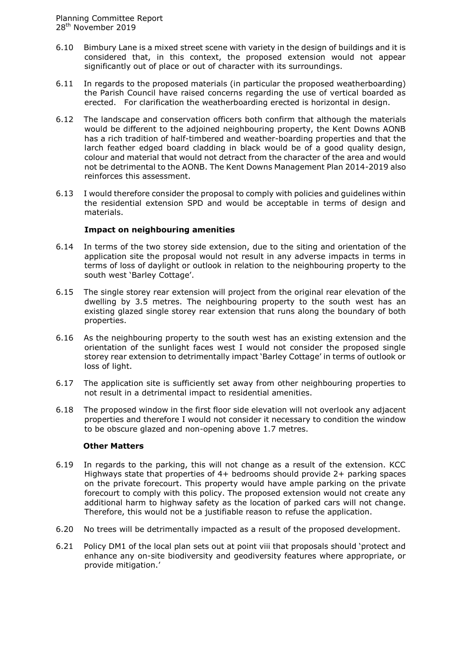- 6.10 Bimbury Lane is a mixed street scene with variety in the design of buildings and it is considered that, in this context, the proposed extension would not appear significantly out of place or out of character with its surroundings.
- 6.11 In regards to the proposed materials (in particular the proposed weatherboarding) the Parish Council have raised concerns regarding the use of vertical boarded as erected. For clarification the weatherboarding erected is horizontal in design.
- 6.12 The landscape and conservation officers both confirm that although the materials would be different to the adjoined neighbouring property, the Kent Downs AONB has a rich tradition of half-timbered and weather-boarding properties and that the larch feather edged board cladding in black would be of a good quality design, colour and material that would not detract from the character of the area and would not be detrimental to the AONB. The Kent Downs Management Plan 2014-2019 also reinforces this assessment.
- 6.13 I would therefore consider the proposal to comply with policies and guidelines within the residential extension SPD and would be acceptable in terms of design and materials.

#### **Impact on neighbouring amenities**

- 6.14 In terms of the two storey side extension, due to the siting and orientation of the application site the proposal would not result in any adverse impacts in terms in terms of loss of daylight or outlook in relation to the neighbouring property to the south west 'Barley Cottage'.
- 6.15 The single storey rear extension will project from the original rear elevation of the dwelling by 3.5 metres. The neighbouring property to the south west has an existing glazed single storey rear extension that runs along the boundary of both properties.
- 6.16 As the neighbouring property to the south west has an existing extension and the orientation of the sunlight faces west I would not consider the proposed single storey rear extension to detrimentally impact 'Barley Cottage' in terms of outlook or loss of light.
- 6.17 The application site is sufficiently set away from other neighbouring properties to not result in a detrimental impact to residential amenities.
- 6.18 The proposed window in the first floor side elevation will not overlook any adjacent properties and therefore I would not consider it necessary to condition the window to be obscure glazed and non-opening above 1.7 metres.

#### **Other Matters**

- 6.19 In regards to the parking, this will not change as a result of the extension. KCC Highways state that properties of 4+ bedrooms should provide 2+ parking spaces on the private forecourt. This property would have ample parking on the private forecourt to comply with this policy. The proposed extension would not create any additional harm to highway safety as the location of parked cars will not change. Therefore, this would not be a justifiable reason to refuse the application.
- 6.20 No trees will be detrimentally impacted as a result of the proposed development.
- 6.21 Policy DM1 of the local plan sets out at point viii that proposals should 'protect and enhance any on-site biodiversity and geodiversity features where appropriate, or provide mitigation.'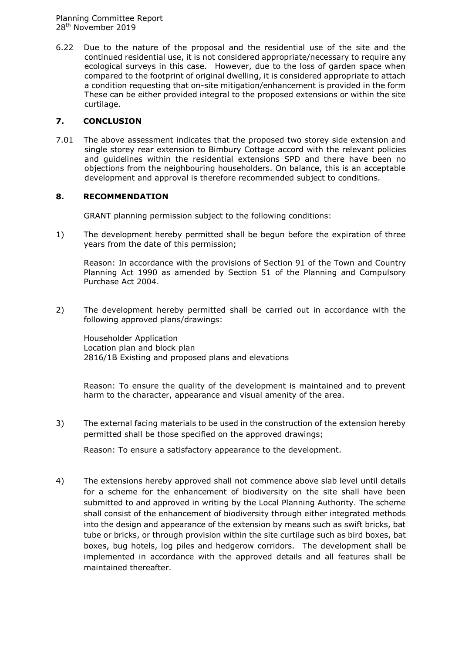Planning Committee Report 28<sup>th</sup> November 2019

6.22 Due to the nature of the proposal and the residential use of the site and the continued residential use, it is not considered appropriate/necessary to require any ecological surveys in this case. However, due to the loss of garden space when compared to the footprint of original dwelling, it is considered appropriate to attach a condition requesting that on-site mitigation/enhancement is provided in the form These can be either provided integral to the proposed extensions or within the site curtilage.

# **7. CONCLUSION**

7.01 The above assessment indicates that the proposed two storey side extension and single storey rear extension to Bimbury Cottage accord with the relevant policies and guidelines within the residential extensions SPD and there have been no objections from the neighbouring householders. On balance, this is an acceptable development and approval is therefore recommended subject to conditions.

# **8. RECOMMENDATION**

GRANT planning permission subject to the following conditions:

1) The development hereby permitted shall be begun before the expiration of three years from the date of this permission;

Reason: In accordance with the provisions of Section 91 of the Town and Country Planning Act 1990 as amended by Section 51 of the Planning and Compulsory Purchase Act 2004.

2) The development hereby permitted shall be carried out in accordance with the following approved plans/drawings:

Householder Application Location plan and block plan 2816/1B Existing and proposed plans and elevations

Reason: To ensure the quality of the development is maintained and to prevent harm to the character, appearance and visual amenity of the area.

3) The external facing materials to be used in the construction of the extension hereby permitted shall be those specified on the approved drawings;

Reason: To ensure a satisfactory appearance to the development.

4) The extensions hereby approved shall not commence above slab level until details for a scheme for the enhancement of biodiversity on the site shall have been submitted to and approved in writing by the Local Planning Authority. The scheme shall consist of the enhancement of biodiversity through either integrated methods into the design and appearance of the extension by means such as swift bricks, bat tube or bricks, or through provision within the site curtilage such as bird boxes, bat boxes, bug hotels, log piles and hedgerow corridors. The development shall be implemented in accordance with the approved details and all features shall be maintained thereafter.